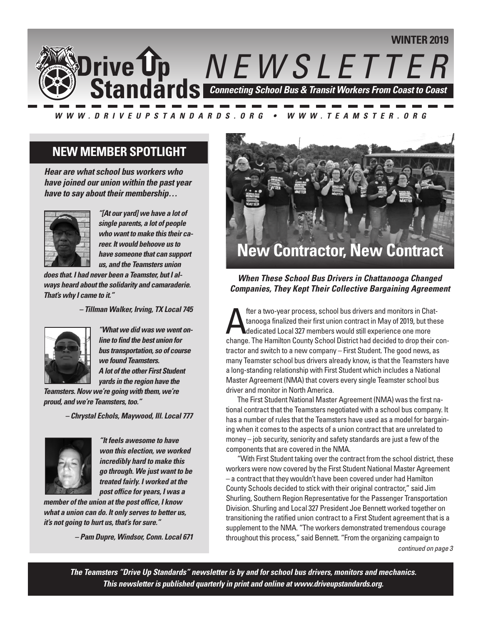

#### WWW.DRIVEUPSTANDARDS.ORG • WWW.TEAMSTER.ORG

### **NEW MEMBER SPOTLIGHT**

*Hear are what school bus workers who have joined our union within the past year have to say about their membership…*



*"[At our yard] we have a lot of single parents, a lot of people who want to make this their career. It would behoove us to have someone that can support us, and the Teamsters union*

*does that. I had never been a Teamster, but I always heard about the solidarity and camaraderie. That's why I came to it."*

*– Tillman Walker, Irving, TX Local 745*



*"What we did was we went online to find the best union for bus transportation, so of course we found Teamsters. Alot of the other First Student yards in the region have the*

*Teamsters.Nowwe're goingwith them,we're proud, andwe're Teamsters, too."*

*– Chrystal Echols, Maywood, Ill. Local 777*



*"It feels awesome to have won this election, we worked incredibly hard to make this go through. We just want to be treated fairly. I worked at the post office for years, I was a*

*member of the union at the post office, I know what a union can do. It only serves to better us, it's not going to hurt us, that's for sure."*

*– Pam Dupre, Windsor, Conn. Local 671*



*When These School Bus Drivers in Chattanooga Changed Companies, They Kept Their Collective Bargaining Agreement*

The a two-year process, school bus drivers and monitors in Chat-<br>tanooga finalized their first union contract in May of 2019, but the<br>dedicated Local 327 members would still experience one more tanooga finalized their first union contract in May of 2019, but these dedicated Local 327 members would still experience one more change. The Hamilton County School District had decided to drop their contractor and switch to a new company – First Student. The good news, as many Teamster school bus drivers already know, is that the Teamsters have a long-standing relationship with First Student which includes a National Master Agreement (NMA) that covers every single Teamster school bus driver and monitor in North America.

The First Student National Master Agreement (NMA) was the first national contract that the Teamsters negotiated with a school bus company. It has a number of rules that the Teamsters have used as a model for bargaining when it comes to the aspects of a union contract that are unrelated to money – job security, seniority and safety standards are just a few of the components that are covered in the NMA.

"With First Student taking over the contract from the school district, these workers were now covered by the First Student National Master Agreement – a contract that they wouldn't have been covered under had Hamilton County Schools decided to stick with their original contractor," said Jim Shurling, Southern Region Representative for the Passenger Transportation Division. Shurling and Local 327 President Joe Bennett worked together on transitioning the ratified union contract to a First Student agreement that is a supplement to the NMA. "The workers demonstrated tremendous courage throughout this process," said Bennett. "From the organizing campaign to *continued on page 3*

*The Teamsters "Drive Up Standards" newsletter is by and for school bus drivers, monitors and mechanics. This newsletter is published quarterly in print and online at www.driveupstandards.org.*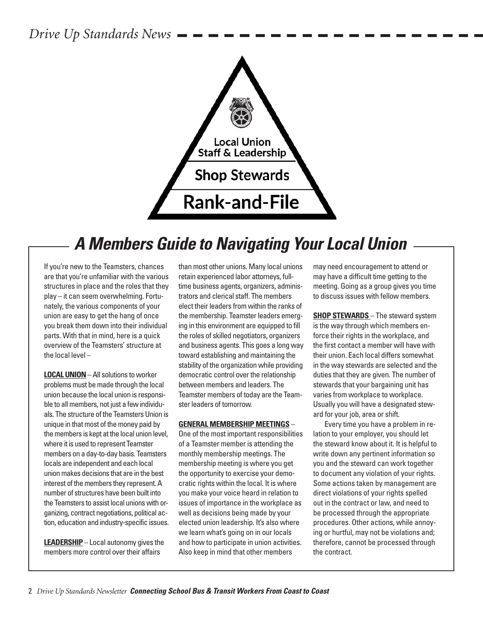*Drive Up Standards News*



# *A Members Guide to Navigating Your Local Union*

If you're new to the Teamsters, chances are that you're unfamiliar with the various structures in place and the roles that they play – it can seem overwhelming. Fortunately, the various components of your union are easy to get the hang of once you break them down into their individual parts. With that in mind, here is a quick overview of the Teamsters' structure at the local level –

**LOCALUNION**–All solutions to worker problems must be made through the local union because the local union is responsible to all members, not just a few individuals. The structure of the Teamsters Union is unique in that most of the money paid by the members is kept at the local union level, where it is used to represent Teamster members on a day-to-day basis. Teamsters locals are independent and each local union makes decisions that are in the best interest of the members they represent. A number of structures have been built into the Teamsters to assist local unions with organizing, contract negotiations, political action, education and industry-specific issues.

**LEADERSHIP** – Local autonomy gives the members more control over their affairs

than most other unions. Many local unions retain experienced labor attorneys, fulltime business agents, organizers, administrators and clerical staff. The members elect their leaders from within the ranks of the membership. Teamster leaders emerging in this environment are equipped to fill the roles of skilled negotiators, organizers and business agents. This goes a long way toward establishing and maintaining the stability of the organization while providing democratic control over the relationship between members and leaders. The Teamster members of today are the Teamster leaders of tomorrow.

#### **GENERAL MEMBERSHIP MEETINGS** –

One of the most important responsibilities of a Teamster member is attending the monthly membership meetings. The membership meeting is where you get the opportunity to exercise your democratic rights within the local. It is where you make your voice heard in relation to issues of importance in the workplace as well as decisions being made by your elected union leadership. It's also where we learn what's going on in our locals and how to participate in union activities. Also keep in mind that other members

may need encouragement to attend or may have a difficult time getting to the meeting. Going as a group gives you time to discuss issues with fellow members.

**SHOP STEWARDS** – The steward system is the way through which members enforce their rights in the workplace, and the first contact a member will have with their union. Each local differs somewhat in the way stewards are selected and the duties that they are given. The number of stewards that your bargaining unit has varies from workplace to workplace. Usually you will have a designated steward for your job, area or shift.

Every time you have a problem in relation to your employer, you should let the steward know about it. It is helpful to write down any pertinent information so you and the steward can work together to document any violation of your rights. Some actions taken by management are direct violations of your rights spelled out in the contract or law, and need to be processed through the appropriate procedures. Other actions, while annoying or hurtful, may not be violations and; therefore, cannot be processed through the contract.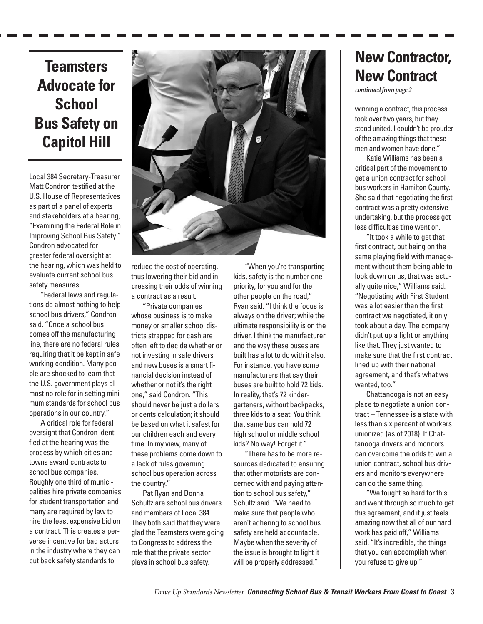## **Teamsters Advocate for School Bus Safety on Capitol Hill**

Local 384 Secretary-Treasurer Matt Condron testified at the U.S. House of Representatives as part of a panel of experts and stakeholders at a hearing, "Examining the Federal Role in Improving School Bus Safety." Condron advocated for greater federal oversight at the hearing, which was held to evaluate current school bus safety measures.

"Federal laws and regulations do almost nothing to help school bus drivers," Condron said. "Once a school bus comes off the manufacturing line, there are no federal rules requiring that it be kept in safe working condition. Many people are shocked to learn that the U.S. government plays almost no role for in setting minimum standards for school bus operations in our country."

A critical role for federal oversight that Condron identified at the hearing was the process by which cities and towns award contracts to school bus companies. Roughly one third of municipalities hire private companies for student transportation and many are required by law to hire the least expensive bid on a contract. This creates a perverse incentive for bad actors in the industry where they can cut back safety standards to



reduce the cost of operating, thus lowering their bid and increasing their odds of winning a contract as a result.

"Private companies whose business is to make money or smaller school districts strapped for cash are often left to decide whether or not investing in safe drivers and new buses is a smart financial decision instead of whether or not it's the right one," said Condron. "This should never be just a dollars or cents calculation; it should be based on what it safest for our children each and every time. In my view, many of these problems come down to a lack of rules governing school bus operation across the country."

Pat Ryan and Donna Schultz are school bus drivers and members of Local 384. They both said that they were glad the Teamsters were going to Congress to address the role that the private sector plays in school bus safety.

"When you're transporting kids, safety is the number one priority, for you and for the other people on the road," Ryan said. "I think the focus is always on the driver; while the ultimate responsibility is on the driver, I think the manufacturer and the way these buses are built has a lot to do with it also. For instance, you have some manufacturers that say their buses are built to hold 72 kids. In reality, that's 72 kindergarteners, without backpacks, three kids to a seat. You think that same bus can hold 72 high school or middle school kids? No way! Forget it."

"There has to be more resources dedicated to ensuring that other motorists are concerned with and paying attention to school bus safety," Schultz said. "We need to make sure that people who aren't adhering to school bus safety are held accountable. Maybe when the severity of the issue is brought to light it will be properly addressed."

## **New Contractor, New Contract**

continued from page 2

winning a contract, this process took over two years, but they stood united. I couldn't be prouder of the amazing things that these men and women have done."

Katie Williams has been a critical part of the movement to get a union contract for school bus workers in Hamilton County. She said that negotiating the first contract was a pretty extensive undertaking, but the process got less difficult as time went on.

"It took a while to get that first contract, but being on the same playing field with management without them being able to look down on us, that was actually quite nice," Williams said. "Negotiating with First Student was a lot easier than the first contract we negotiated, it only took about a day. The company didn't put up a fight or anything like that. They just wanted to make sure that the first contract lined up with their national agreement, and that's what we wanted, too."

Chattanooga is not an easy place to negotiate a union contract – Tennessee is a state with less than six percent of workers unionized (as of 2018). If Chattanooga drivers and monitors can overcome the odds to win a union contract, school bus drivers and monitors everywhere can do the same thing.

"We fought so hard for this and went through so much to get this agreement, and it just feels amazing now that all of our hard work has paid off," Williams said. "It's incredible, the things that you can accomplish when you refuse to give up."